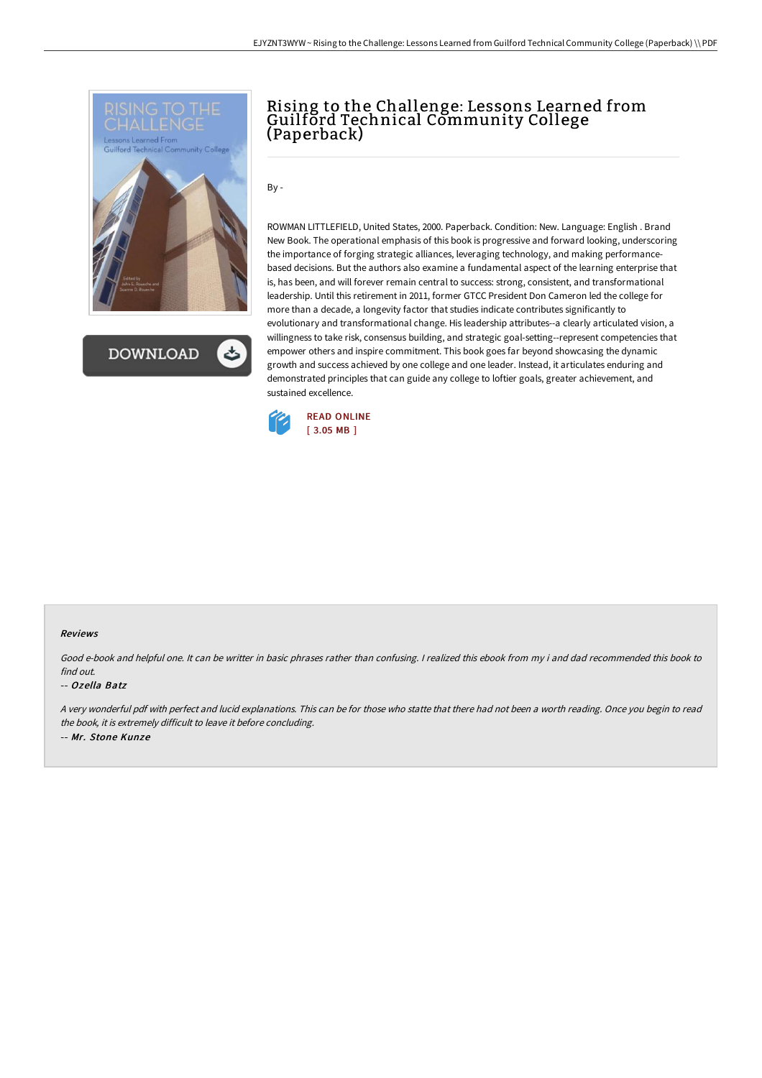

**DOWNLOAD** 

## Rising to the Challenge: Lessons Learned from Guilford Technical Community College (Paperback)

By -

ROWMAN LITTLEFIELD, United States, 2000. Paperback. Condition: New. Language: English . Brand New Book. The operational emphasis of this book is progressive and forward looking, underscoring the importance of forging strategic alliances, leveraging technology, and making performancebased decisions. But the authors also examine a fundamental aspect of the learning enterprise that is, has been, and will forever remain central to success: strong, consistent, and transformational leadership. Until this retirement in 2011, former GTCC President Don Cameron led the college for more than a decade, a longevity factor that studies indicate contributes significantly to evolutionary and transformational change. His leadership attributes--a clearly articulated vision, a willingness to take risk, consensus building, and strategic goal-setting--represent competencies that empower others and inspire commitment. This book goes far beyond showcasing the dynamic growth and success achieved by one college and one leader. Instead, it articulates enduring and demonstrated principles that can guide any college to loftier goals, greater achievement, and sustained excellence.



## Reviews

Good e-book and helpful one. It can be writter in basic phrases rather than confusing. <sup>I</sup> realized this ebook from my i and dad recommended this book to find out.

## -- Ozella Batz

<sup>A</sup> very wonderful pdf with perfect and lucid explanations. This can be for those who statte that there had not been <sup>a</sup> worth reading. Once you begin to read the book, it is extremely difficult to leave it before concluding. -- Mr. Stone Kunze